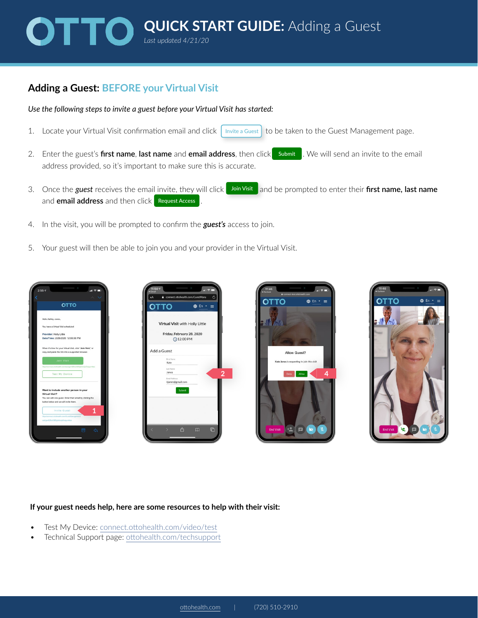# **Adding a Guest: BEFORE your Virtual Visit**

*Use the following steps to invite a guest before your Virtual Visit has started:* 

*Last updated 4/21/20*

1. Locate your Virtual Visit confirmation email and click  $\mid$  Invite a Guest  $\mid$  to be taken to the Guest Management page.

**QUICK START GUIDE:** Adding a Guest

- 2. Enter the guest's **first name, last name** and **email address**, then click submit . We will send an invite to the email address provided, so it's important to make sure this is accurate.
- 3. Once the **guest** receives the email invite, they will click **JoinVisit** and be prompted to enter their **first name, last name** and **email address** and then click **Request Access** .
- 4. In the visit, you will be prompted to confirm the *guest's* access to join.
- 5. Your guest will then be able to join you and your provider in the Virtual Visit.









#### **If your guest needs help, here are some resources to help with their visit:**

- Test My Device: [connect.ottohealth.com/video/test](https://connect.ottohealth.com/video/test)
- Technical Support page: [ottohealth.com/techsupport](https://www.ottohealth.com/techsupport)